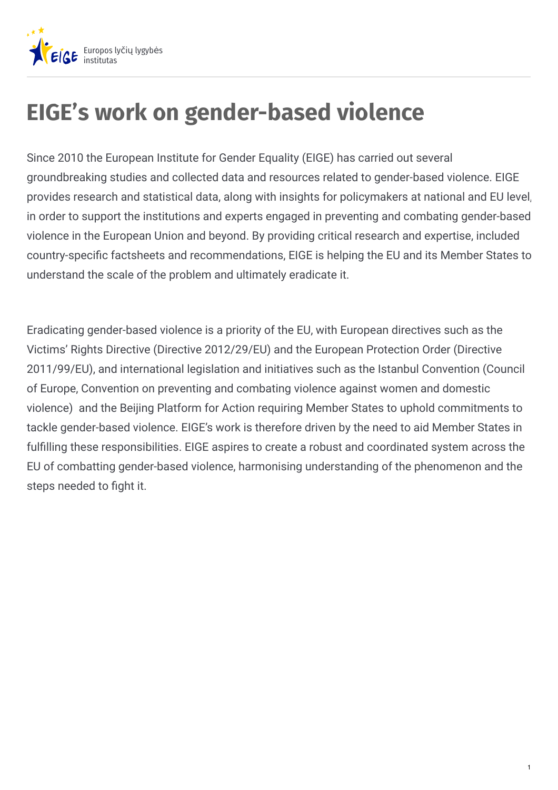

## **EIGE's work on gender-based violence**

Since 2010 the European Institute for Gender Equality (EIGE) has carried out several groundbreaking studies and collected data and resources related to gender-based violence. EIGE provides research and statistical data, along with insights for policymakers at national and EU level, in order to support the institutions and experts engaged in preventing and combating gender-based violence in the European Union and beyond. By providing critical research and expertise, included country-specific factsheets and recommendations, EIGE is helping the EU and its Member States to understand the scale of the problem and ultimately eradicate it.

Eradicating gender-based violence is a priority of the EU, with European directives such as the Victims' Rights Directive (Directive 2012/29/EU) and the European Protection Order (Directive 2011/99/EU), and international legislation and initiatives such as the Istanbul Convention (Council of Europe, Convention on preventing and combating violence against women and domestic violence) and the Beijing Platform for Action requiring Member States to uphold commitments to tackle gender-based violence. EIGE's work is therefore driven by the need to aid Member States in fulfilling these responsibilities. EIGE aspires to create a robust and coordinated system across the EU of combatting gender-based violence, harmonising understanding of the phenomenon and the steps needed to fight it.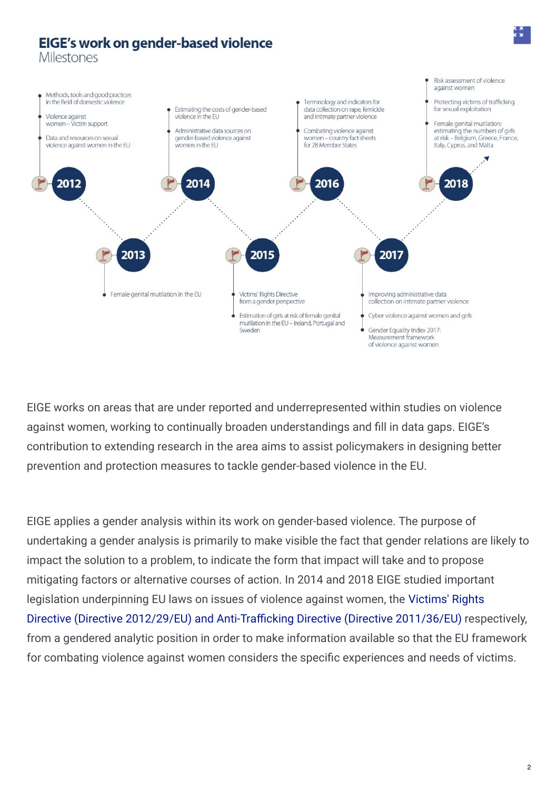## EIGE's work on gender-based violence **Milestones** Risk assessment of violence against women Methods, tools and good practices in the field of domestic violence Terminology and indicators for Protecting victims of trafficking Estimating the costs of gender-based data collection on rape, femicide for sexual exploitation and intimate partner violence Violence against violence in the EU women - Victim support Female genital mutilation: Administrative data sources on Combating violence against estimating the numbers of girls Data and resources on sexual gender-based violence against at risk - Belgium, Greece, France, women - country fact sheets violence against women in the EU women in the EU for 28 Member States Italy, Cyprus, and Malta 2016 201 201 2018 2015 2017 2013 Female genital mutilation in the EU Victims' Rights Directive Improving administrative data from a gender perspective collection on intimate partner violence Estimation of girls at risk of female genital Cyber violence against women and girls mutilation in the EU - Ireland, Portugal and Gender Equality Index 2017: Sweden Measurement framework of violence against women

EIGE works on areas that are under reported and underrepresented within studies on violence against women, working to continually broaden understandings and fill in data gaps. EIGE's contribution to extending research in the area aims to assist policymakers in designing better prevention and protection measures to tackle gender-based violence in the EU.

EIGE applies a gender analysis within its work on gender-based violence. The purpose of undertaking a gender analysis is primarily to make visible the fact that gender relations are likely to impact the solution to a problem, to indicate the form that impact will take and to propose mitigating factors or alternative courses of action. In 2014 and 2018 EIGE studied important legislation underpinning EU laws on issues of violence against women, the Victims' Rights Directive (Directive 2012/29/EU) and Anti-Trafficking Directive (Directive 2011/36/EU) respectively, from a gendered analytic position in order to make information available so that the EU framework for combating violence against women considers the specific experiences and needs of victims.